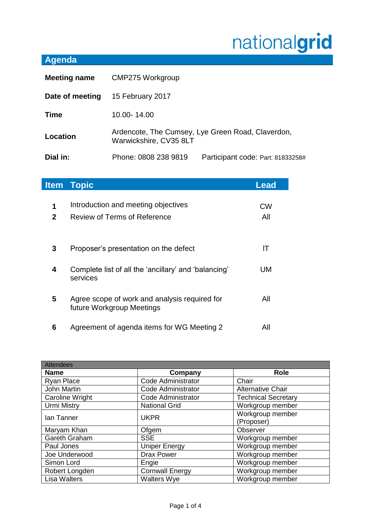## nationalgrid

## **Agenda**

| <b>Meeting name</b> | <b>CMP275 Workgroup</b>                                                     |                                   |
|---------------------|-----------------------------------------------------------------------------|-----------------------------------|
| Date of meeting     | 15 February 2017                                                            |                                   |
| <b>Time</b>         | 10.00-14.00                                                                 |                                   |
| Location            | Ardencote, The Cumsey, Lye Green Road, Claverdon,<br>Warwickshire, CV35 8LT |                                   |
| Dial in:            | Phone: 0808 238 9819                                                        | Participant code: Part: 81833258# |

| <b>Item</b>       | <b>Topic</b>                                                               | <b>Lead</b>      |
|-------------------|----------------------------------------------------------------------------|------------------|
| 1<br>$\mathbf{2}$ | Introduction and meeting objectives<br>Review of Terms of Reference        | <b>CW</b><br>All |
| 3                 | Proposer's presentation on the defect                                      | IΤ               |
| 4                 | Complete list of all the 'ancillary' and 'balancing'<br>services           | UM               |
| 5                 | Agree scope of work and analysis required for<br>future Workgroup Meetings | All              |
| 6                 | Agreement of agenda items for WG Meeting 2                                 | All              |

| <b>Attendees</b>       |                           |                            |
|------------------------|---------------------------|----------------------------|
| <b>Name</b>            | Company                   | <b>Role</b>                |
| Ryan Place             | <b>Code Administrator</b> | Chair                      |
| John Martin            | <b>Code Administrator</b> | <b>Alternative Chair</b>   |
| <b>Caroline Wright</b> | Code Administrator        | <b>Technical Secretary</b> |
| <b>Urmi Mistry</b>     | <b>National Grid</b>      | Workgroup member           |
| Ian Tanner             | <b>UKPR</b>               | Workgroup member           |
|                        |                           | (Proposer)                 |
| Maryam Khan            | Ofgem                     | Observer                   |
| Gareth Graham          | <b>SSE</b>                | Workgroup member           |
| Paul Jones             | <b>Uniper Energy</b>      | Workgroup member           |
| Joe Underwood          | <b>Drax Power</b>         | Workgroup member           |
| Simon Lord             | Engie                     | Workgroup member           |
| Robert Longden         | <b>Cornwall Energy</b>    | Workgroup member           |
| <b>Lisa Walters</b>    | <b>Walters Wye</b>        | Workgroup member           |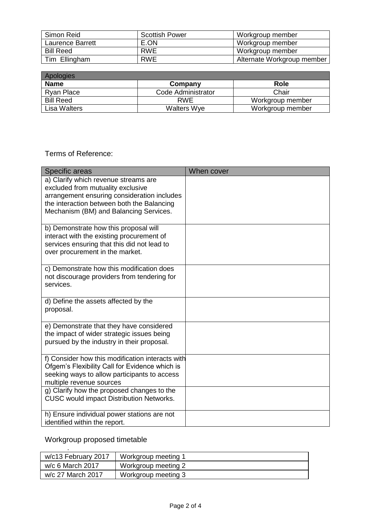| Simon Reid       | <b>Scottish Power</b> | Workgroup member           |
|------------------|-----------------------|----------------------------|
| Laurence Barrett | E.ON                  | Workgroup member           |
| <b>Bill Reed</b> | <b>RWE</b>            | Workgroup member           |
| Tim Ellingham    | <b>RWE</b>            | Alternate Workgroup member |

| Apologies        |                    |                  |
|------------------|--------------------|------------------|
| <b>Name</b>      | Company            | <b>Role</b>      |
| Ryan Place       | Code Administrator | Chair            |
| <b>Bill Reed</b> | <b>RWE</b>         | Workgroup member |
| Lisa Walters     | <b>Walters Wye</b> | Workgroup member |

## Terms of Reference:

| Specific areas                                                                                                                                                                                                   | When cover |
|------------------------------------------------------------------------------------------------------------------------------------------------------------------------------------------------------------------|------------|
| a) Clarify which revenue streams are<br>excluded from mutuality exclusive<br>arrangement ensuring consideration includes<br>the interaction between both the Balancing<br>Mechanism (BM) and Balancing Services. |            |
| b) Demonstrate how this proposal will<br>interact with the existing procurement of<br>services ensuring that this did not lead to<br>over procurement in the market.                                             |            |
| c) Demonstrate how this modification does<br>not discourage providers from tendering for<br>services.                                                                                                            |            |
| d) Define the assets affected by the<br>proposal.                                                                                                                                                                |            |
| e) Demonstrate that they have considered<br>the impact of wider strategic issues being<br>pursued by the industry in their proposal.                                                                             |            |
| f) Consider how this modification interacts with<br>Ofgem's Flexibility Call for Evidence which is<br>seeking ways to allow participants to access<br>multiple revenue sources                                   |            |
| g) Clarify how the proposed changes to the<br><b>CUSC would impact Distribution Networks.</b>                                                                                                                    |            |
| h) Ensure individual power stations are not<br>identified within the report.                                                                                                                                     |            |

Workgroup proposed timetable

| w/c13 February 2017 | Workgroup meeting 1 |
|---------------------|---------------------|
| w/c 6 March 2017    | Workgroup meeting 2 |
| w/c 27 March 2017   | Workgroup meeting 3 |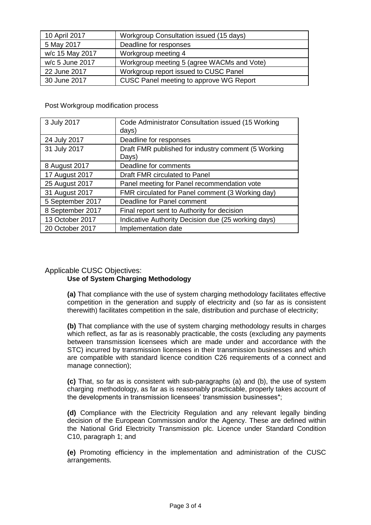| 10 April 2017   | Workgroup Consultation issued (15 days)    |
|-----------------|--------------------------------------------|
| 5 May 2017      | Deadline for responses                     |
| w/c 15 May 2017 | Workgroup meeting 4                        |
| w/c 5 June 2017 | Workgroup meeting 5 (agree WACMs and Vote) |
| 22 June 2017    | Workgroup report issued to CUSC Panel      |
| 30 June 2017    | CUSC Panel meeting to approve WG Report    |

Post Workgroup modification process

| 3 July 2017      | Code Administrator Consultation issued (15 Working<br>days)  |
|------------------|--------------------------------------------------------------|
| 24 July 2017     | Deadline for responses                                       |
| 31 July 2017     | Draft FMR published for industry comment (5 Working<br>Days) |
| 8 August 2017    | Deadline for comments                                        |
| 17 August 2017   | Draft FMR circulated to Panel                                |
| 25 August 2017   | Panel meeting for Panel recommendation vote                  |
| 31 August 2017   | FMR circulated for Panel comment (3 Working day)             |
| 5 September 2017 | Deadline for Panel comment                                   |
| 8 September 2017 | Final report sent to Authority for decision                  |
| 13 October 2017  | Indicative Authority Decision due (25 working days)          |
| 20 October 2017  | Implementation date                                          |

## Applicable CUSC Objectives: **Use of System Charging Methodology**

**(a)** That compliance with the use of system charging methodology facilitates effective competition in the generation and supply of electricity and (so far as is consistent therewith) facilitates competition in the sale, distribution and purchase of electricity;

**(b)** That compliance with the use of system charging methodology results in charges which reflect, as far as is reasonably practicable, the costs (excluding any payments between transmission licensees which are made under and accordance with the STC) incurred by transmission licensees in their transmission businesses and which are compatible with standard licence condition C26 requirements of a connect and manage connection);

**(c)** That, so far as is consistent with sub-paragraphs (a) and (b), the use of system charging methodology, as far as is reasonably practicable, properly takes account of the developments in transmission licensees' transmission businesses\*;

**(d)** Compliance with the Electricity Regulation and any relevant legally binding decision of the European Commission and/or the Agency. These are defined within the National Grid Electricity Transmission plc. Licence under Standard Condition C10, paragraph 1; and

**(e)** Promoting efficiency in the implementation and administration of the CUSC arrangements.